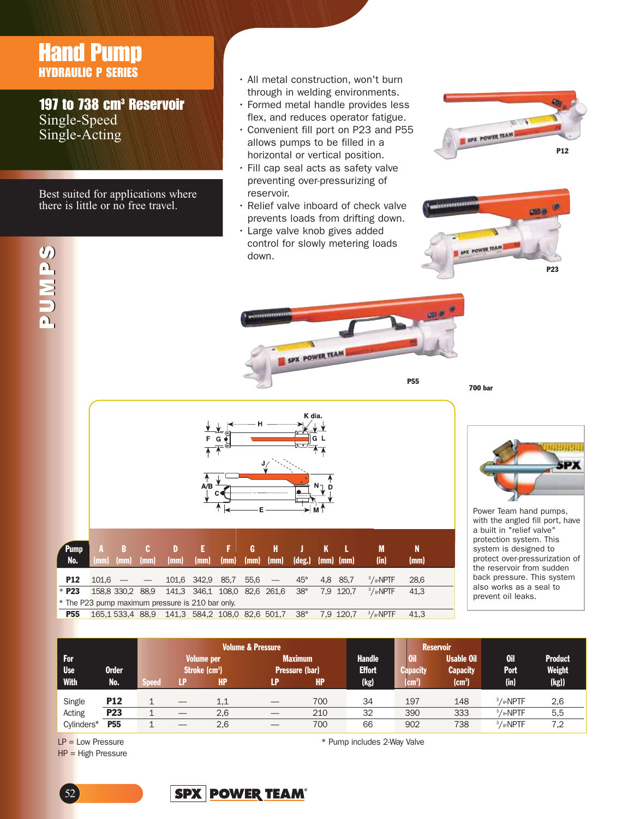## Hand Pump HYDRAULIC P SERIES

SC ND 2

SUMPS

**SUNDS** 

197 to 738 cm<sup>3</sup> Reservoir Single-Speed Single-Acting

Best suited for applications where there is little or no free travel.

- All metal construction, won't burn through in welding environments.
- Formed metal handle provides less flex, and reduces operator fatigue.
- Convenient fill port on P23 and P55 allows pumps to be filled in a horizontal or vertical position.
- Fill cap seal acts as safety valve preventing over-pressurizing of reservoir.
- Relief valve inboard of check valve prevents loads from drifting down.
- Large valve knob gives added control for slowly metering loads down.

SPX POWER TEAM





|                                                  | н<br>⊚<br>E<br>G<br>G<br>$\overline{\phantom{a}}$<br>Θ<br>$\sqrt{\frac{1}{2}}$<br>$\bullet$<br>$N-$<br>мT |                  |                      |                                         |                              |           |           |           |                      |           |            |             |           |  |
|--------------------------------------------------|-----------------------------------------------------------------------------------------------------------|------------------|----------------------|-----------------------------------------|------------------------------|-----------|-----------|-----------|----------------------|-----------|------------|-------------|-----------|--|
| <b>Pump</b><br>No.                               | A<br>(mm)                                                                                                 | B<br>(mm)        | $\mathbf{c}$<br>(mm) | D<br>(mm)                               | Æ<br>(mm)                    | F<br>(mm) | G<br>(mm) | н<br>(mm) | J<br>$(\text{deg.})$ | K<br>(mm) | п.<br>(mm) | M<br>(in)   | N<br>(mm) |  |
| <b>P12</b>                                       | 101,6                                                                                                     |                  |                      |                                         | 101,6 342,9                  | 85,7      | 55,6      |           | $45^{\circ}$         | 4,8       | 85,7       | $3/s$ -NPTF | 28,6      |  |
| $*$ P23                                          |                                                                                                           | 158,8 330,2 88,9 |                      |                                         | 141,3 346,1 108,0 82,6 261,6 |           |           |           | $38^\circ$           |           | 7,9 120,7  | $3/s$ -NPTF | 41,3      |  |
| * The P23 pump maximum pressure is 210 bar only. |                                                                                                           |                  |                      |                                         |                              |           |           |           |                      |           |            |             |           |  |
| <b>P55</b>                                       |                                                                                                           |                  |                      | 165,1533,488,9 141,3584,2108,082,6501,7 |                              |           |           |           | $38^\circ$           |           | 7,9 120,7  | $3/s$ -NPTF | 41,3      |  |

700 bar

P55



Power Team hand pumps, with the angled fill port, have a built in "relief valve" protection system. This system is designed to protect over-pressurization of the reservoir from sudden back pressure. This system also works as a seal to prevent oil leaks.

|                                    |                 |                                                |   |     | <b>Volume &amp; Pressure</b> |                                         |      |                                 | <b>Reservoir</b>                     |                    |                                 |
|------------------------------------|-----------------|------------------------------------------------|---|-----|------------------------------|-----------------------------------------|------|---------------------------------|--------------------------------------|--------------------|---------------------------------|
| For.<br><b>Use</b><br><b>Order</b> |                 | <b>Volume per</b><br>Stroke (cm <sup>3</sup> ) |   |     |                              | <b>Maximum</b><br><b>Pressure (bar)</b> |      | 0il<br><b>Capacity</b>          | <b>Usable Oil</b><br><b>Capacity</b> | 0il<br><b>Port</b> | <b>Product</b><br><b>Weight</b> |
| <b>With</b>                        | No.             | <b>Speed</b>                                   | æ | HP  | LP                           | HP.                                     | (kg) | $\rm \textsf{lcm}^{\textsf{3}}$ | $\text{cm}^3$                        | (in)               | (kg)                            |
| Single                             | <b>P12</b>      |                                                |   | 1,1 |                              | 700                                     | 34   | 197                             | 148                                  | $3/s$ -NPTF        | 2,6                             |
| Acting                             | P <sub>23</sub> |                                                |   | 2,6 |                              | 210                                     | 32   | 390                             | 333                                  | $3/s$ -NPTF        | 5,5                             |
| Cylinders*                         | P <sub>55</sub> |                                                |   | 2,6 |                              | 700                                     | 66   | 902                             | 738                                  | $3/s$ -NPTF        | 7.2                             |

 $LP =$  Low Pressure  $HP = High$  Pressure \* Pump includes 2-Way Valve

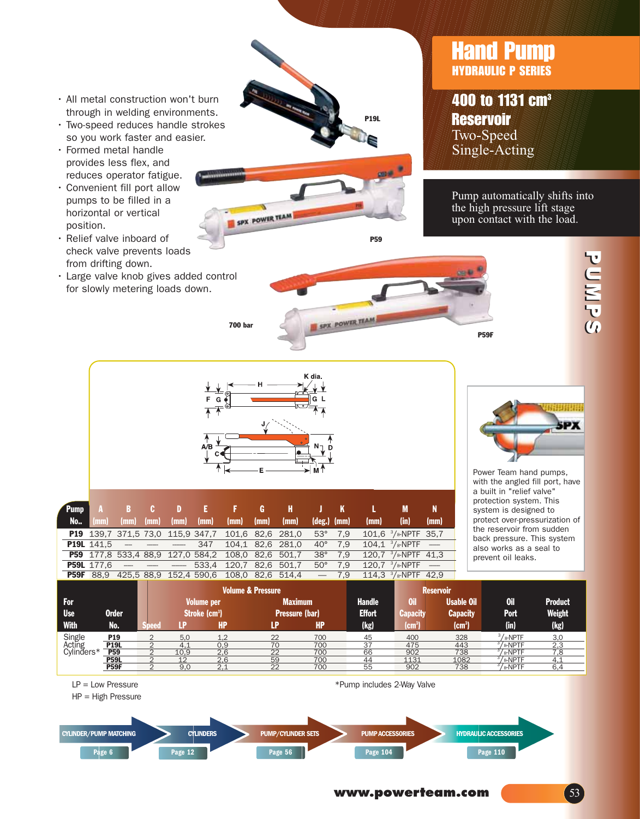- All metal construction won't burn through in welding environments.
- Two-speed reduces handle strokes so you work faster and easier.
- Formed metal handle provides less flex, and reduces operator fatigue.
- Convenient fill port allow pumps to be filled in a horizontal or vertical position.
- Relief valve inboard of check valve prevents loads from drifting down.
- Large valve knob gives added control for slowly metering loads down.





400 to 1131 cm<sup>3</sup> **Reservoir** Two-Speed Single-Acting

Pump automatically shifts into the high pressure lift stage upon contact with the load.



P59

セコミアの セコミアル セコミアル



SPX POWER TEAM

| <b>Pump</b> |                   |      |                                 |      |                                                          | A B C D E F G H J K                                      |                      |        |      |                                          |      |
|-------------|-------------------|------|---------------------------------|------|----------------------------------------------------------|----------------------------------------------------------|----------------------|--------|------|------------------------------------------|------|
| <b>No</b>   | ' (mm) .          | (mm) | $(mm)$ $(mm)$                   | (mm) | $\mathsf{m}$ (mm)                                        | (mm)                                                     | $(\text{deg.})$ (mm) |        | (mm) | (in)                                     | (mm) |
|             |                   |      |                                 |      | <b>P19</b> 139,7 371,5 73,0 115,9 347,7 101,6 82,6 281,0 |                                                          | $53^{\circ}$ 7.9     |        |      | 101.6 $\frac{3}{8}$ -NPTF 35.7           |      |
|             |                   |      | <b>P19L</b> $141.5$ - - - - 347 |      | 104.1 82.6 281.0                                         |                                                          | $40^{\circ}$         | 7.9    |      | $104.1$ <sup>3</sup> / $\text{s-NPTF}$ - |      |
|             |                   |      |                                 |      | P59 177,8 533,4 88,9 127,0 584,2 108,0 82,6 501,7        |                                                          | $38^\circ$           | 7.9    |      | 120,7 $\frac{3}{8}$ -NPTF 41,3           |      |
|             | <b>P59L</b> 177.6 |      |                                 |      | 533,4 120,7 82,6 501,7                                   |                                                          | $50^{\circ}$ 7.9     |        |      | $120.7 \frac{3}{8}$ -NPTF -              |      |
|             |                   |      |                                 |      |                                                          | <b>P59F</b> 88,9 425,5 88,9 152,4 590,6 108,0 82,6 514,4 |                      | $-7.9$ |      | 114.3 $\frac{3}{8}$ -NPTF 42.9           |      |



Power Team hand pumps, with the angled fill port, have a built in "relief valve" protection system. This system is designed to protect over-pressurization of the reservoir from sudden back pressure. This system also works as a seal to prevent oil leaks.

| гээг                           | ೦೦.೨            |       | 420,0 00,9 192,4 990,0    |     | H.HIC 0.NO U.OUL             |     | .ෟ<br>114.J   | 78-INFIF 42.Y                  |                   |                      |                |
|--------------------------------|-----------------|-------|---------------------------|-----|------------------------------|-----|---------------|--------------------------------|-------------------|----------------------|----------------|
|                                |                 |       |                           |     | <b>Volume &amp; Pressure</b> |     |               |                                | <b>Reservoir</b>  |                      |                |
| For:                           |                 |       | <b>Volume per</b>         |     | <b>Maximum</b>               |     | <b>Handle</b> | Oil                            | <b>Usable Oil</b> | 0il                  | <b>Product</b> |
| <b>Use</b>                     | Order           |       | Stroke (cm <sup>3</sup> ) |     | <b>Pressure (bar)</b>        |     | <b>Effort</b> | Capacity                       |                   | <b>Port</b>          | Weight         |
| With                           | No.             | Speed | - P                       | HP  | LP                           | HP. | (kg)          | $\rm \textsf{(cm}^3\textsf{)}$ | $\textsf{[cm^3]}$ | (in)                 | (kg)           |
| Single<br>Acting<br>Cylinders* | P <sub>19</sub> |       | 5.0                       | 1.2 | 22                           | 700 | 45            | 400                            | 328               | $3/s$ -NPTF          | 3.0            |
|                                | <b>P19L</b>     |       | 4.1                       | 0,9 | 70                           | 700 | 37            | 475                            | 443               | / <sub>8</sub> -NPTF | 2.3            |
|                                | <b>P59</b>      |       | 10.9                      | 2,6 | 22                           | 700 | 66            | 902                            | 738               | /s-NPTF              | 7.8            |
|                                | <b>P59L</b>     |       | 12                        | 2.6 | 59                           | 700 | 44            | 1131                           | 1082              | /s-NPTF              | 4.1            |
|                                | <b>P59F</b>     |       | 9,0                       | 2,1 | 22                           | 700 | 55            | 902                            | 738               | /s-NPTF              | 6,4            |

LP = Low Pressure

HP = High Pressure